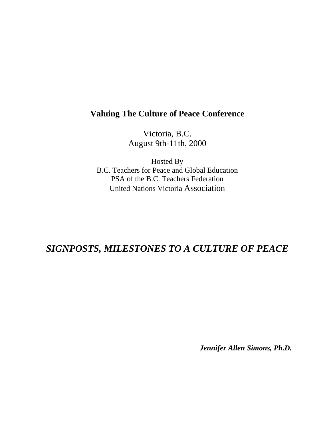## **Valuing The Culture of Peace Conference**

Victoria, B.C. August 9th-11th, 2000

Hosted By B.C. Teachers for Peace and Global Education PSA of the B.C. Teachers Federation United Nations Victoria Association

## *SIGNPOSTS, MILESTONES TO A CULTURE OF PEACE*

*Jennifer Allen Simons, Ph.D.*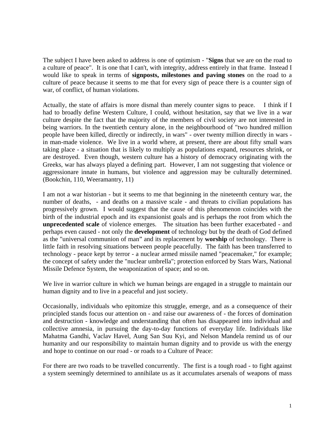The subject I have been asked to address is one of optimism - "**Signs** that we are on the road to a culture of peace". It is one that I can't, with integrity, address entirely in that frame. Instead I would like to speak in terms of **signposts, milestones and paving stones** on the road to a culture of peace because it seems to me that for every sign of peace there is a counter sign of war, of conflict, of human violations.

Actually, the state of affairs is more dismal than merely counter signs to peace. I think if I had to broadly define Western Culture, I could, without hesitation, say that we live in a war culture despite the fact that the majority of the members of civil society are not interested in being warriors. In the twentieth century alone, in the neighbourhood of "two hundred million people have been killed, directly or indirectly, in wars" - over twenty million directly in wars in man-made violence. We live in a world where, at present, there are about fifty small wars taking place - a situation that is likely to multiply as populations expand, resources shrink, or are destroyed. Even though, western culture has a history of democracy originating with the Greeks, war has always played a defining part. However, I am not suggesting that violence or aggressionare innate in humans, but violence and aggression may be culturally determined. (Bookchin, 110, Weeramantry, 11)

I am not a war historian - but it seems to me that beginning in the nineteenth century war, the number of deaths, - and deaths on a massive scale - and threats to civilian populations has progressively grown. I would suggest that the cause of this phenomenon coincides with the birth of the industrial epoch and its expansionist goals and is perhaps the root from which the **unprecedented scale** of violence emerges. The situation has been further exacerbated - and perhaps even caused - not only the **development** of technology but by the death of God defined as the "universal communion of man" and its replacement by **worship** of technology. There is little faith in resolving situations between people peacefully. The faith has been transferred to technology - peace kept by terror - a nuclear armed missile named "peacemaker," for example; the concept of safety under the "nuclear umbrella"; protection enforced by Stars Wars, National Missile Defence System, the weaponization of space; and so on.

We live in warrior culture in which we human beings are engaged in a struggle to maintain our human dignity and to live in a peaceful and just society.

Occasionally, individuals who epitomize this struggle, emerge, and as a consequence of their principled stands focus our attention on - and raise our awareness of - the forces of domination and destruction - knowledge and understanding that often has disappeared into individual and collective amnesia, in pursuing the day-to-day functions of everyday life. Individuals like Mahatma Gandhi, Vaclav Havel, Aung San Suu Kyi, and Nelson Mandela remind us of our humanity and our responsibility to maintain human dignity and to provide us with the energy and hope to continue on our road - or roads to a Culture of Peace:

For there are two roads to be travelled concurrently. The first is a tough road - to fight against a system seemingly determined to annihilate us as it accumulates arsenals of weapons of mass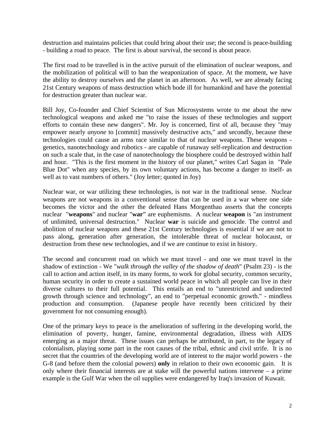destruction and maintains policies that could bring about their use; the second is peace-building - building a road to peace. The first is about survival, the second is about peace.

The first road to be travelled is in the active pursuit of the elimination of nuclear weapons, and the mobilization of political will to ban the weaponization of space. At the moment, we have the ability to destroy ourselves and the planet in an afternoon. As well, we are already facing 21st Century weapons of mass destruction which bode ill for humankind and have the potential for destruction greater than nuclear war.

Bill Joy, Co-founder and Chief Scientist of Sun Microsystems wrote to me about the new technological weapons and asked me "to raise the issues of these technologies and support efforts to contain these new dangers". Mr. Joy is concerned, first of all, because they "may empower nearly *anyone* to [commit] massively destructive acts," and secondly, because these technologies could cause an arms race similar to that of nuclear weapons. These weapons genetics, nanotechnology and robotics - are capable of runaway self-replication and destruction on such a scale that, in the case of nanotechnology the biosphere could be destroyed within half and hour. "This is the first moment in the history of our planet," writes Carl Sagan in "Pale Blue Dot" when any species, by its own voluntary actions, has become a danger to itself- as well as to vast numbers of others." (Joy letter; quoted in Joy)

Nuclear war, or war utilizing these technologies, is not war in the traditional sense. Nuclear weapons are not weapons in a conventional sense that can be used in a war where one side becomes the victor and the other the defeated Hans Morgenthau asserts that the concepts nuclear "**weapons**" and nuclear "**war**" are euphemisms. A nuclear **weapon** is "an instrument of unlimited, universal destruction." Nuclear **war** is suicide and genocide. The control and abolition of nuclear weapons and these 21st Century technologies is essential if we are not to pass along, generation after generation, the intolerable threat of nuclear holocaust, or destruction from these new technologies, and if we are continue to exist in history.

The second and concurrent road on which we must travel - and one we must travel in the shadow of extinction - We "*walk through the valley of the shadow of death*" (Psalm 23) - is the call to action and action itself, in its many forms, to work for global security, common security, human security in order to create a sustained world peace in which all people can live in their diverse cultures to their full potential. This entails an end to "unrestricted and undirected growth through science and technology", an end to "perpetual economic growth." - mindless production and consumption. (Japanese people have recently been criticized by their government for not consuming enough).

One of the primary keys to peace is the amelioration of suffering in the developing world, the elimination of poverty, hunger, famine, environmental degradation, illness with AIDS emerging as a major threat. These issues can perhaps be attributed, in part, to the legacy of colonialism, playing some part in the root causes of the tribal, ethnic and civil strife. It is no secret that the countries of the developing world are of interest to the major world powers - the G-8 (and before them the colonial powers) **only** in relation to their own economic gain. It is only where their financial interests are at stake will the powerful nations intervene – a prime example is the Gulf War when the oil supplies were endangered by Iraq's invasion of Kuwait.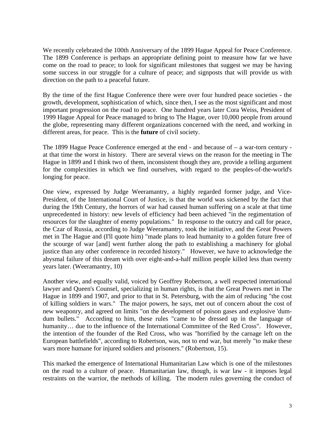We recently celebrated the 100th Anniversary of the 1899 Hague Appeal for Peace Conference. The 1899 Conference is perhaps an appropriate defining point to measure how far we have come on the road to peace; to look for significant milestones that suggest we may be having some success in our struggle for a culture of peace; and signposts that will provide us with direction on the path to a peaceful future.

By the time of the first Hague Conference there were over four hundred peace societies - the growth, development, sophistication of which, since then, I see as the most significant and most important progression on the road to peace. One hundred years later Cora Weiss, President of 1999 Hague Appeal for Peace managed to bring to The Hague, over 10,000 people from around the globe, representing many different organizations concerned with the need, and working in different areas, for peace. This is the **future** of civil society.

The 1899 Hague Peace Conference emerged at the end - and because of – a war-torn century at that time the worst in history. There are several views on the reason for the meeting in The Hague in 1899 and I think two of them, inconsistent though they are, provide a telling argument for the complexities in which we find ourselves, with regard to the peoples-of-the-world's longing for peace.

One view, expressed by Judge Weeramantry, a highly regarded former judge, and Vice-President, of the International Court of Justice, is that the world was sickened by the fact that during the 19th Century, the horrors of war had caused human suffering on a scale at that time unprecedented in history: new levels of efficiency had been achieved "in the regimentation of resources for the slaughter of enemy populations." In response to the outcry and call for peace, the Czar of Russia, according to Judge Weeramantry, took the initiative, and the Great Powers met in The Hague and (I'll quote him) "made plans to lead humanity to a golden future free of the scourge of war [and] went further along the path to establishing a machinery for global justice than any other conference in recorded history." However, we have to acknowledge the abysmal failure of this dream with over eight-and-a-half million people killed less than twenty years later. (Weeramantry, 10)

Another view, and equally valid, voiced by Geoffrey Robertson, a well respected international lawyer and Queen's Counsel, specializing in human rights, is that the Great Powers met in The Hague in 1899 and 1907, and prior to that in St. Petersburg, with the aim of reducing "the cost of killing soldiers in wars." The major powers, he says, met out of concern about the cost of new weaponry, and agreed on limits "on the development of poison gases and explosive 'dumdum bullets." According to him, these rules "came to be dressed up in the language of humanity... due to the influence of the International Committee of the Red Cross". However, the intention of the founder of the Red Cross, who was "horrified by the carnage left on the European battlefields", according to Robertson, was, not to end war, but merely "to make these wars more humane for injured soldiers and prisoners." (Robertson, 15).

This marked the emergence of International Humanitarian Law which is one of the milestones on the road to a culture of peace. Humanitarian law, though, is war law - it imposes legal restraints on the warrior, the methods of killing. The modern rules governing the conduct of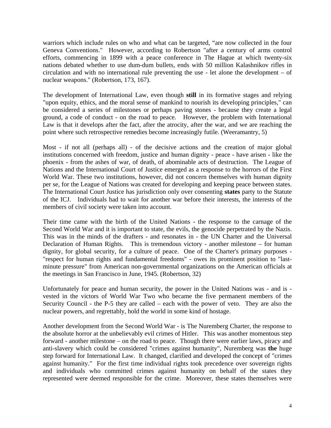warriors which include rules on who and what can be targeted, "are now collected in the four Geneva Conventions." However, according to Robertson "after a century of arms control efforts, commencing in 1899 with a peace conference in The Hague at which twenty-six nations debated whether to use dum-dum bullets, ends with 50 million Kalashnikov rifles in circulation and with no international rule preventing the use - let alone the development – of nuclear weapons." (Robertson, 173, 167).

The development of International Law, even though **still** in its formative stages and relying "upon equity, ethics, and the moral sense of mankind to nourish its developing principles," can be considered a series of milestones or perhaps paving stones - because they create a legal ground, a code of conduct - on the road to peace. However, the problem with International Law is that it develops after the fact, after the atrocity, after the war, and we are reaching the point where such retrospective remedies become increasingly futile. (Weeramantry, 5)

Most - if not all (perhaps all) - of the decisive actions and the creation of major global institutions concerned with freedom, justice and human dignity - peace - have arisen - like the phoenix - from the ashes of war, of death, of abominable acts of destruction. The League of Nations and the International Court of Justice emerged as a response to the horrors of the First World War. These two institutions, however, did not concern themselves with human dignity per se, for the League of Nations was created for developing and keeping peace between states. The International Court Justice has jurisdiction only over consenting **states** party to the Statute of the ICJ. Individuals had to wait for another war before their interests, the interests of the members of civil society were taken into account.

Their time came with the birth of the United Nations - the response to the carnage of the Second World War and it is important to state, the evils, the genocide perpetrated by the Nazis. This was in the minds of the drafters - and resonates in - the UN Charter and the Universal Declaration of Human Rights. This is tremendous victory - another milestone – for human dignity, for global security, for a culture of peace. One of the Charter's primary purposes - "respect for human rights and fundamental freedoms" - owes its prominent position to "lastminute pressure" from American non-governmental organizations on the American officials at the meetings in San Francisco in June, 1945. (Robertson, 32)

Unfortunately for peace and human security, the power in the United Nations was - and is vested in the victors of World War Two who became the five permanent members of the Security Council - the P-5 they are called – each with the power of veto. They are also the nuclear powers, and regrettably, hold the world in some kind of hostage.

Another development from the Second World War - is The Nuremberg Charter, the response to the absolute horror at the unbelievably evil crimes of Hitler. This was another momentous step forward - another milestone – on the road to peace. Though there were earlier laws, piracy and anti-slavery which could be considered "crimes against humanity", Nuremberg was **the** huge step forward for International Law. It changed, clarified and developed the concept of "crimes against humanity." For the first time individual rights took precedence over sovereign rights and individuals who committed crimes against humanity on behalf of the states they represented were deemed responsible for the crime. Moreover, these states themselves were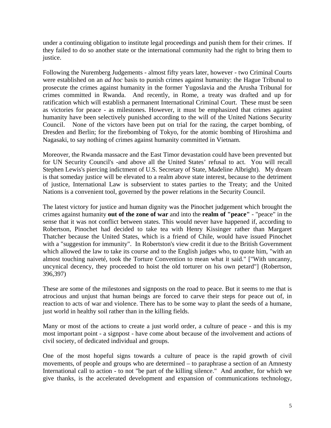under a continuing obligation to institute legal proceedings and punish them for their crimes. If they failed to do so another state or the international community had the right to bring them to justice.

Following the Nuremberg Judgements - almost fifty years later, however - two Criminal Courts were established on an *ad hoc* basis to punish crimes against humanity: the Hague Tribunal to prosecute the crimes against humanity in the former Yugoslavia and the Arusha Tribunal for crimes committed in Rwanda. And recently, in Rome, a treaty was drafted and up for ratification which will establish a permanent International Criminal Court. These must be seen as victories for peace - as milestones. However, it must be emphasized that crimes against humanity have been selectively punished according to the will of the United Nations Security Council. None of the victors have been put on trial for the razing, the carpet bombing, of Dresden and Berlin; for the firebombing of Tokyo, for the atomic bombing of Hiroshima and Nagasaki, to say nothing of crimes against humanity committed in Vietnam.

Moreover, the Rwanda massacre and the East Timor devastation could have been prevented but for UN Security Council's -and above all the United States' refusal to act. You will recall Stephen Lewis's piercing indictment of U.S. Secretary of State, Madeline Albright). My dream is that someday justice will be elevated to a realm above state interest, because to the detriment of justice, International Law is subservient to states parties to the Treaty; and the United Nations is a convenient tool, governed by the power relations in the Security Council.

The latest victory for justice and human dignity was the Pinochet judgement which brought the crimes against humanity **out of the zone of war** and into the **realm of "peace"** - "peace" in the sense that it was not conflict between states. This would never have happened if, according to Robertson, Pinochet had decided to take tea with Henry Kissinger rather than Margaret Thatcher because the United States, which is a friend of Chile, would have issued Pinochet with a "suggestion for immunity". In Robertston's view credit it due to the British Government which allowed the law to take its course and to the English judges who, to quote him, "with an almost touching naiveté, took the Torture Convention to mean what it said." ["With uncanny, uncynical decency, they proceeded to hoist the old torturer on his own petard"] (Robertson, 396,397)

These are some of the milestones and signposts on the road to peace. But it seems to me that is atrocious and unjust that human beings are forced to carve their steps for peace out of, in reaction to acts of war and violence. There has to be some way to plant the seeds of a humane, just world in healthy soil rather than in the killing fields.

Many or most of the actions to create a just world order, a culture of peace - and this is my most important point - a signpost - have come about because of the involvement and actions of civil society, of dedicated individual and groups.

One of the most hopeful signs towards a culture of peace is the rapid growth of civil movements, of people and groups who are determined – to paraphrase a section of an Amnesty International call to action - to not "be part of the killing silence." And another, for which we give thanks, is the accelerated development and expansion of communications technology,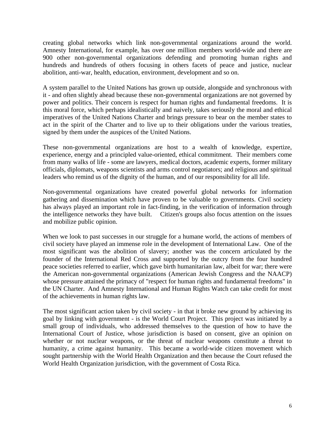creating global networks which link non-governmental organizations around the world. Amnesty International, for example, has over one million members world-wide and there are 900 other non-governmental organizations defending and promoting human rights and hundreds and hundreds of others focusing in others facets of peace and justice, nuclear abolition, anti-war, health, education, environment, development and so on.

A system parallel to the United Nations has grown up outside, alongside and synchronous with it - and often slightly ahead because these non-governmental organizations are not governed by power and politics. Their concern is respect for human rights and fundamental freedoms. It is this moral force, which perhaps idealistically and naively, takes seriously the moral and ethical imperatives of the United Nations Charter and brings pressure to bear on the member states to act in the spirit of the Charter and to live up to their obligations under the various treaties, signed by them under the auspices of the United Nations.

These non-governmental organizations are host to a wealth of knowledge, expertize, experience, energy and a principled value-oriented, ethical commitment. Their members come from many walks of life - some are lawyers, medical doctors, academic experts, former military officials, diplomats, weapons scientists and arms control negotiators; and religious and spiritual leaders who remind us of the dignity of the human, and of our responsibility for all life.

Non-governmental organizations have created powerful global networks for information gathering and dissemination which have proven to be valuable to governments. Civil society has always played an important role in fact-finding, in the verification of information through the intelligence networks they have built. Citizen's groups also focus attention on the issues and mobilize public opinion.

When we look to past successes in our struggle for a humane world, the actions of members of civil society have played an immense role in the development of International Law. One of the most significant was the abolition of slavery; another was the concern articulated by the founder of the International Red Cross and supported by the outcry from the four hundred peace societies referred to earlier, which gave birth humanitarian law, albeit for war; there were the American non-governmental organizations (American Jewish Congress and the NAACP) whose pressure attained the primacy of "respect for human rights and fundamental freedoms" in the UN Charter. And Amnesty International and Human Rights Watch can take credit for most of the achievements in human rights law.

The most significant action taken by civil society - in that it broke new ground by achieving its goal by linking with government - is the World Court Project. This project was initiated by a small group of individuals, who addressed themselves to the question of how to have the International Court of Justice, whose jurisdiction is based on consent, give an opinion on whether or not nuclear weapons, or the threat of nuclear weapons constitute a threat to humanity, a crime against humanity. This became a world-wide citizen movement which sought partnership with the World Health Organization and then because the Court refused the World Health Organization jurisdiction, with the government of Costa Rica.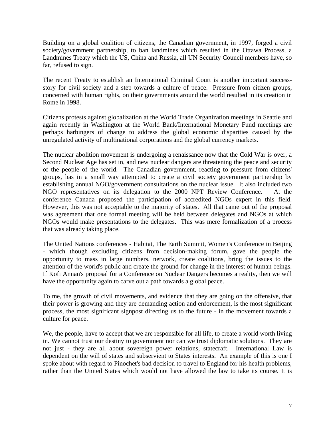Building on a global coalition of citizens, the Canadian government, in 1997, forged a civil society/government partnership, to ban landmines which resulted in the Ottawa Process, a Landmines Treaty which the US, China and Russia, all UN Security Council members have, so far, refused to sign.

The recent Treaty to establish an International Criminal Court is another important successstory for civil society and a step towards a culture of peace. Pressure from citizen groups, concerned with human rights, on their governments around the world resulted in its creation in Rome in 1998.

Citizens protests against globalization at the World Trade Organization meetings in Seattle and again recently in Washington at the World Bank/International Monetary Fund meetings are perhaps harbingers of change to address the global economic disparities caused by the unregulated activity of multinational corporations and the global currency markets.

The nuclear abolition movement is undergoing a renaissance now that the Cold War is over, a Second Nuclear Age has set in, and new nuclear dangers are threatening the peace and security of the people of the world. The Canadian government, reacting to pressure from citizens' groups, has in a small way attempted to create a civil society government partnership by establishing annual NGO/government consultations on the nuclear issue. It also included two NGO representatives on its delegation to the 2000 NPT Review Conference. At the conference Canada proposed the participation of accredited NGOs expert in this field. However, this was not acceptable to the majority of states. All that came out of the proposal was agreement that one formal meeting will be held between delegates and NGOs at which NGOs would make presentations to the delegates. This was mere formalization of a process that was already taking place.

The United Nations conferences - Habitat, The Earth Summit, Women's Conference in Beijing - which though excluding citizens from decision-making forum, gave the people the opportunity to mass in large numbers, network, create coalitions, bring the issues to the attention of the world's public and create the ground for change in the interest of human beings. If Kofi Annan's proposal for a Conference on Nuclear Dangers becomes a reality, then we will have the opportunity again to carve out a path towards a global peace.

To me, the growth of civil movements, and evidence that they are going on the offensive, that their power is growing and they are demanding action and enforcement, is the most significant process, the most significant signpost directing us to the future - in the movement towards a culture for peace.

We, the people, have to accept that we are responsible for all life, to create a world worth living in. We cannot trust our destiny to government nor can we trust diplomatic solutions. They are not just - they are all about sovereign power relations, statecraft. International Law is dependent on the will of states and subservient to States interests. An example of this is one I spoke about with regard to Pinochet's bad decision to travel to England for his health problems, rather than the United States which would not have allowed the law to take its course. It is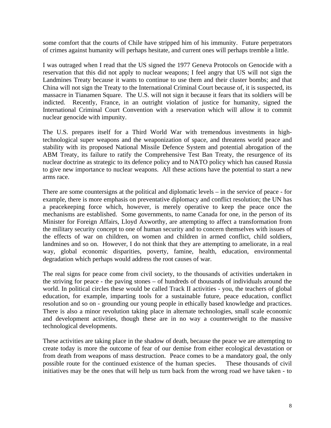some comfort that the courts of Chile have stripped him of his immunity. Future perpetrators of crimes against humanity will perhaps hesitate, and current ones will perhaps tremble a little.

I was outraged when I read that the US signed the 1977 Geneva Protocols on Genocide with a reservation that this did not apply to nuclear weapons; I feel angry that US will not sign the Landmines Treaty because it wants to continue to use them and their cluster bombs; and that China will not sign the Treaty to the International Criminal Court because of, it is suspected, its massacre in Tianamen Square. The U.S. will not sign it because it fears that its soldiers will be indicted. Recently, France, in an outright violation of justice for humanity, signed the International Criminal Court Convention with a reservation which will allow it to commit nuclear genocide with impunity.

The U.S. prepares itself for a Third World War with tremendous investments in hightechnological super weapons and the weaponization of space, and threatens world peace and stability with its proposed National Missile Defence System and potential abrogation of the ABM Treaty, its failure to ratify the Comprehensive Test Ban Treaty, the resurgence of its nuclear doctrine as strategic to its defence policy and to NATO policy which has caused Russia to give new importance to nuclear weapons. All these actions have the potential to start a new arms race.

There are some countersigns at the political and diplomatic levels – in the service of peace - for example, there is more emphasis on preventative diplomacy and conflict resolution; the UN has a peacekeeping force which, however, is merely operative to keep the peace once the mechanisms are established. Some governments, to name Canada for one, in the person of its Minister for Foreign Affairs, Lloyd Axworthy, are attempting to affect a transformation from the military security concept to one of human security and to concern themselves with issues of the effects of war on children, on women and children in armed conflict, child soldiers, landmines and so on. However, I do not think that they are attempting to ameliorate, in a real way, global economic disparities, poverty, famine, health, education, environmental degradation which perhaps would address the root causes of war.

The real signs for peace come from civil society, to the thousands of activities undertaken in the striving for peace - the paving stones – of hundreds of thousands of individuals around the world. In political circles these would be called Track II activities - you, the teachers of global education, for example, imparting tools for a sustainable future, peace education, conflict resolution and so on - grounding our young people in ethically based knowledge and practices. There is also a minor revolution taking place in alternate technologies, small scale economic and development activities, though these are in no way a counterweight to the massive technological developments.

These activities are taking place in the shadow of death, because the peace we are attempting to create today is more the outcome of fear of our demise from either ecological devastation or from death from weapons of mass destruction. Peace comes to be a mandatory goal, the only possible route for the continued existence of the human species. These thousands of civil initiatives may be the ones that will help us turn back from the wrong road we have taken - to